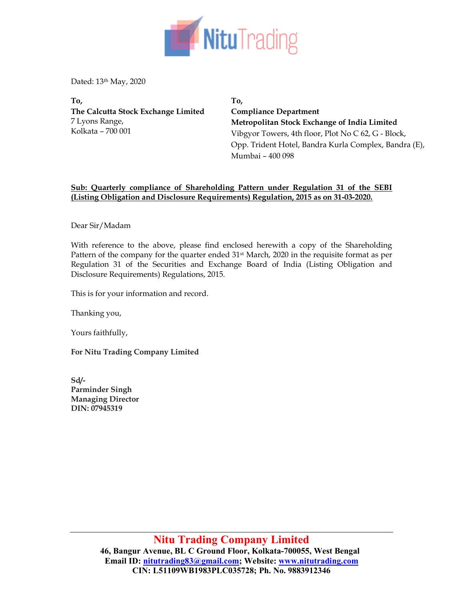

Dated: 13th May, 2020

To, The Calcutta Stock Exchange Limited 7 Lyons Range, Kolkata – 700 001

To, Compliance Department Metropolitan Stock Exchange of India Limited Vibgyor Towers, 4th floor, Plot No C 62, G - Block, Opp. Trident Hotel, Bandra Kurla Complex, Bandra (E), Mumbai – 400 098

## Sub: Quarterly compliance of Shareholding Pattern under Regulation 31 of the SEBI (Listing Obligation and Disclosure Requirements) Regulation, 2015 as on 31-03-2020.

Dear Sir/Madam

With reference to the above, please find enclosed herewith a copy of the Shareholding Pattern of the company for the quarter ended  $31st$  March, 2020 in the requisite format as per Regulation 31 of the Securities and Exchange Board of India (Listing Obligation and Disclosure Requirements) Regulations, 2015.

This is for your information and record.

Thanking you,

Yours faithfully,

For Nitu Trading Company Limited

Sd/- Parminder Singh Managing Director DIN: 07945319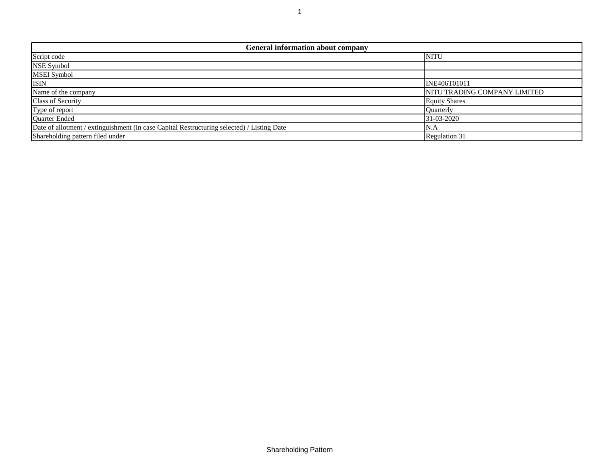| <b>General information about company</b>                                                   |                              |  |  |  |  |  |  |  |  |  |  |  |
|--------------------------------------------------------------------------------------------|------------------------------|--|--|--|--|--|--|--|--|--|--|--|
| Script code                                                                                | <b>NITU</b>                  |  |  |  |  |  |  |  |  |  |  |  |
| NSE Symbol                                                                                 |                              |  |  |  |  |  |  |  |  |  |  |  |
| <b>MSEI</b> Symbol                                                                         |                              |  |  |  |  |  |  |  |  |  |  |  |
| <b>ISIN</b>                                                                                | <b>INE406T01011</b>          |  |  |  |  |  |  |  |  |  |  |  |
| Name of the company                                                                        | NITU TRADING COMPANY LIMITED |  |  |  |  |  |  |  |  |  |  |  |
| Class of Security                                                                          | <b>Equity Shares</b>         |  |  |  |  |  |  |  |  |  |  |  |
| Type of report                                                                             | <b>Ouarterly</b>             |  |  |  |  |  |  |  |  |  |  |  |
| Quarter Ended                                                                              | 31-03-2020                   |  |  |  |  |  |  |  |  |  |  |  |
| Date of allotment / extinguishment (in case Capital Restructuring selected) / Listing Date | N.A                          |  |  |  |  |  |  |  |  |  |  |  |
| Shareholding pattern filed under                                                           | Regulation 31                |  |  |  |  |  |  |  |  |  |  |  |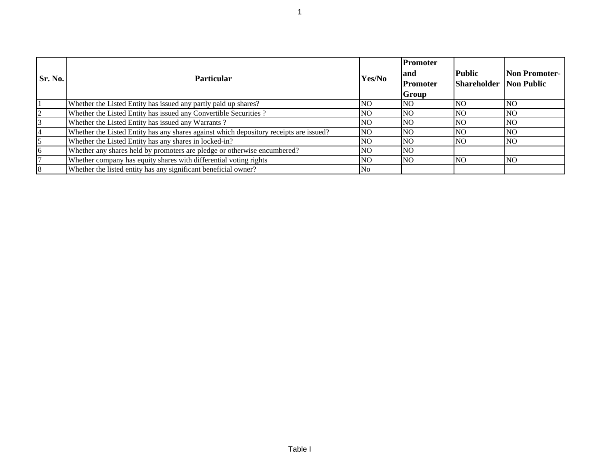| Sr. No. | <b>Particular</b>                                                                      | Yes/No    | Promoter<br>land<br>Promoter<br><b>Group</b> | Public<br><b>Shareholder Non Public</b> | <b>Non Promoter-</b> |
|---------|----------------------------------------------------------------------------------------|-----------|----------------------------------------------|-----------------------------------------|----------------------|
|         | Whether the Listed Entity has issued any partly paid up shares?                        | NO.       | NO.                                          | NO.                                     | INO                  |
| 2       | Whether the Listed Entity has issued any Convertible Securities?                       | NO.       | <b>NO</b>                                    | NO.                                     | <b>NO</b>            |
|         | Whether the Listed Entity has issued any Warrants?                                     | NO.       | <b>NO</b>                                    | NO.                                     | <b>NO</b>            |
|         | Whether the Listed Entity has any shares against which depository receipts are issued? | <b>NO</b> | <b>NO</b>                                    | NO.                                     | <b>NO</b>            |
| 5       | Whether the Listed Entity has any shares in locked-in?                                 | NO.       | <b>NO</b>                                    | NO.                                     | INO.                 |
| l6      | Whether any shares held by promoters are pledge or otherwise encumbered?               | INO.      | <b>NO</b>                                    |                                         |                      |
|         | Whether company has equity shares with differential voting rights                      | NO.       | <b>NO</b>                                    | NO.                                     | <b>NO</b>            |
| 18      | Whether the listed entity has any significant beneficial owner?                        | No        |                                              |                                         |                      |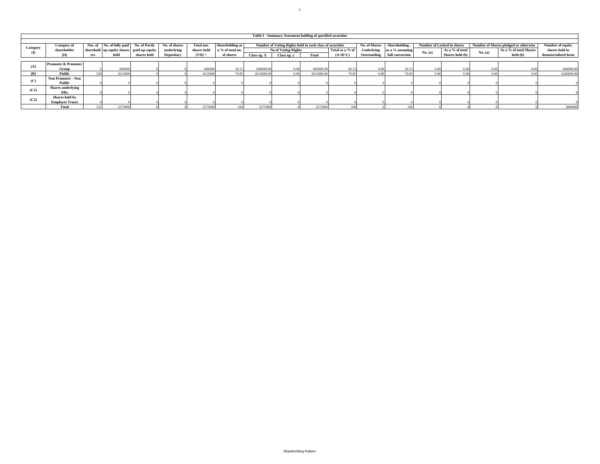|          |                                |     |                                           |             |               |             |                  |             | Table I - Summary Statement holding of specified securities |                     |           |               |                 |                                   |                 |         |                                       |                     |
|----------|--------------------------------|-----|-------------------------------------------|-------------|---------------|-------------|------------------|-------------|-------------------------------------------------------------|---------------------|-----------|---------------|-----------------|-----------------------------------|-----------------|---------|---------------------------------------|---------------------|
|          |                                |     |                                           |             |               |             |                  |             |                                                             |                     |           |               |                 |                                   |                 |         |                                       |                     |
| Category | Category of                    |     | Nos. of No. of fully paid No. of Partly   |             | No. of shares | Total nos.  | Shareholding as  |             | Number of Voting Rights held in each class of securities    |                     |           | No. of Shares | Shareholding    | <b>Number of Locked in shares</b> |                 |         | Number of Shares pledged or otherwise | Number of equity    |
|          | shareholder                    |     | sharehold up equity shares paid-up equity |             | underlying    | shares held | a % of total no. |             |                                                             | No of Voting Rights |           | Underlying    | as a % assuming | No. (a)                           | As a % of total | No. (a) | As a % of total Shares                | shares held in      |
|          | (II)                           | ers | held                                      | shares held | Depository    | $(VII) =$   | of shares        | Class eg: X | Class eg: v                                                 | Total               | $(A+B+C)$ | Outstanding   | full conversion |                                   | Shares held (b) |         | held (b)                              | dematerialized form |
|          |                                |     |                                           |             |               |             |                  |             |                                                             |                     |           |               |                 |                                   |                 |         |                                       |                     |
| (A)      | <b>Promoter &amp; Promoter</b> |     |                                           |             |               |             |                  |             |                                                             |                     |           |               |                 |                                   |                 |         |                                       |                     |
|          | Group                          |     | 660000                                    |             |               | 660000      | 20.15            | 660000.00   | 0.00                                                        | 660000.0            | 20.15     | 0.00          | 20.15           | 0.00                              | 0.00            | 0.00    | 0.00                                  | 660000.00           |
| (B)      | Public                         | 520 | 2615000                                   |             |               | 2615000     | 79.85            | 2615000.00  | 0 Q Q                                                       | 2615000.0           | 79.85     | 0.00          | 79.85           | n nn                              | 0.00            | 0.00    |                                       | 2426000.00          |
| (C)      | Non Promoter - Non             |     |                                           |             |               |             |                  |             |                                                             |                     |           |               |                 |                                   |                 |         |                                       |                     |
|          | Public                         |     |                                           |             |               |             |                  |             |                                                             |                     |           |               |                 |                                   |                 |         |                                       |                     |
| (C1)     | <b>Shares</b> underlying       |     |                                           |             |               |             |                  |             |                                                             |                     |           |               |                 |                                   |                 |         |                                       |                     |
|          | DRs                            |     |                                           |             |               |             |                  |             |                                                             |                     |           |               |                 |                                   |                 |         |                                       |                     |
| (C2)     | Shares held by                 |     |                                           |             |               |             |                  |             |                                                             |                     |           |               |                 |                                   |                 |         |                                       |                     |
|          | <b>Employee Trusts</b>         |     |                                           |             |               |             |                  |             |                                                             |                     |           |               |                 |                                   |                 |         |                                       |                     |
|          | Total                          | 523 | 3275000                                   |             |               | 3275000     |                  | 3275000     |                                                             | 327500              |           |               |                 |                                   |                 |         |                                       | 3086000             |

 $111$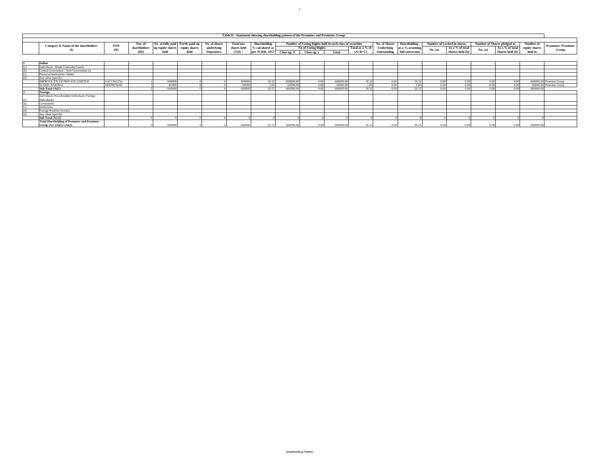| Table II - Statement showing shareholding pattern of the Promoter and Promoter Group                                                                                                                                                                                        |      |             |                    |      |                                               |           |                |                               |             |                            |           |             |                 |                               |                          |         |                 |         |       |
|-----------------------------------------------------------------------------------------------------------------------------------------------------------------------------------------------------------------------------------------------------------------------------|------|-------------|--------------------|------|-----------------------------------------------|-----------|----------------|-------------------------------|-------------|----------------------------|-----------|-------------|-----------------|-------------------------------|--------------------------|---------|-----------------|---------|-------|
| <b>Shareholding</b><br>No. of shares<br>No. of Shares<br>Number of Voting Rights held in each class of securities<br>No. of fully paid Partly paid-up<br><b>Shareholding</b><br>Number of Shares pledged or<br>Number of Locked in shares<br><b>Total nos.</b><br>Number of |      |             |                    |      |                                               |           |                |                               |             |                            |           |             |                 |                               |                          |         |                 |         |       |
| Nos. of<br>Category & Name of the shareholders<br>PAN<br>underlying<br>shareholders up equity shares<br>equity shares                                                                                                                                                       |      | shares held | $\%$ calculated as |      | Total as a % of<br><b>No of Voting Rights</b> |           |                | Underlying<br>as a % assuming |             | As a % of total<br>No. (a) |           |             |                 | As a % of total equity shares | <b>Promoter/Promoter</b> |         |                 |         |       |
|                                                                                                                                                                                                                                                                             | (II) | (III)       | held               | held | Depository                                    | $(VII) =$ | per SCRR, 1957 | Class eg: X                   | Class eg: v | Total                      | $(A+B+C)$ | Outstanding | full conversion |                               | Shares held (b)          | No. (a) | Shares held (b) | held in | Group |
|                                                                                                                                                                                                                                                                             |      |             |                    |      |                                               |           |                |                               |             |                            |           |             |                 |                               |                          |         |                 |         |       |
|                                                                                                                                                                                                                                                                             |      |             |                    |      |                                               |           |                |                               |             |                            |           |             |                 |                               |                          |         |                 |         |       |
| Individuals / Hindu Undivided Family                                                                                                                                                                                                                                        |      |             |                    |      |                                               |           |                |                               |             |                            |           |             |                 |                               |                          |         |                 |         |       |
| Central Government / State Government (s)                                                                                                                                                                                                                                   |      |             |                    |      |                                               |           |                |                               |             |                            |           |             |                 |                               |                          |         |                 |         |       |

 $\sim100$ 

|     | Central Government / State Government (s)          |            |        |  |        |       |           |                   |           |              |       |       |      |      |      |           |                          |
|-----|----------------------------------------------------|------------|--------|--|--------|-------|-----------|-------------------|-----------|--------------|-------|-------|------|------|------|-----------|--------------------------|
|     | Financial Institutions / Banks                     |            |        |  |        |       |           |                   |           |              |       |       |      |      |      |           |                          |
|     | Any other (specify)                                |            |        |  |        |       |           |                   |           |              |       |       |      |      |      |           |                          |
|     | IMPROVE TIE UP PRIVATE LIMITED                     | AACCI0227Q | 600000 |  | 600000 | 18.33 | 600000.00 | 0.00              | 600000.00 | 183'         | 0.00+ | 18.32 | 0.00 |      | 0.00 |           | 600000.00 Promoter Group |
|     | <b>SUSHIL BAJORIA</b>                              | AEEPB7504E | 60000  |  | 60000  | 1.831 | 60000.00  | 0.00              | 60000.00  |              | 0.00  | 1.83  | 0.00 | 3.00 | 0.00 |           | 60000.00 Promoter Group  |
|     | Sub-Total $(A)(1)$                                 |            | 660000 |  | 660000 | 2015  | 660000.00 | 0.00              | 660000.00 | 201          | n nn  | 2015  | n nr |      |      | 660000.00 |                          |
|     | Foreign                                            |            |        |  |        |       |           |                   |           |              |       |       |      |      |      |           |                          |
|     | Individuals (Non-Resident Individuals/Foreign      |            |        |  |        |       |           |                   |           |              |       |       |      |      |      |           |                          |
| (a) | Individuals)                                       |            |        |  |        |       |           |                   |           |              |       |       |      |      |      |           |                          |
|     | Government                                         |            |        |  |        |       |           |                   |           |              |       |       |      |      |      |           |                          |
|     | <b>Institutions</b>                                |            |        |  |        |       |           |                   |           |              |       |       |      |      |      |           |                          |
|     | Foreign Portfolio Investor                         |            |        |  |        |       |           |                   |           |              |       |       |      |      |      |           |                          |
|     | Any other (specify)                                |            |        |  |        |       |           |                   |           |              |       |       |      |      |      |           |                          |
|     | Sub Total $(A)$ $(2)$                              |            |        |  |        |       |           |                   |           |              |       |       |      |      |      |           |                          |
|     | <b>Total Shareholding of Promoter and Promoter</b> |            |        |  |        |       |           |                   |           |              |       |       |      |      |      |           |                          |
|     | Group $(A)=(A)(1)+(A)(2)$                          |            | 660000 |  | 660000 | 20.15 | 660000.00 | 0.00 <sub>1</sub> | 660000.0  | $20^{\circ}$ |       |       |      |      |      | 660000.0  |                          |